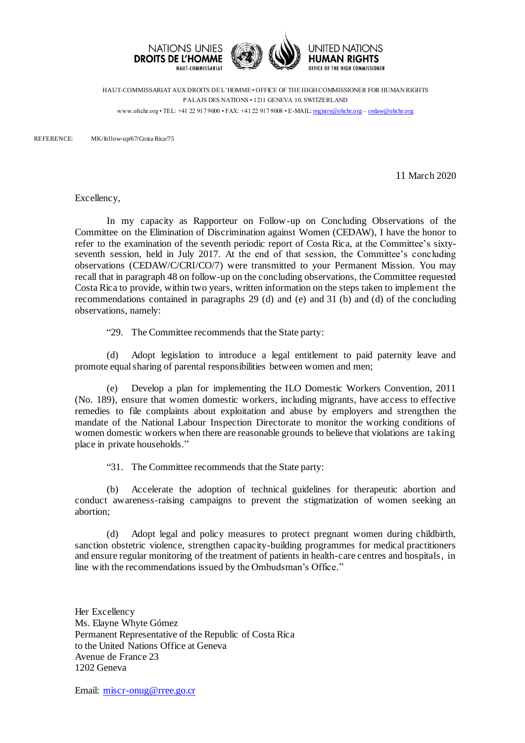

HAUT-COMMISSARIAT AUX DROITS DE L'HOMME • OFFICE OF THE HIGH COMMISSIONER FOR HUMAN RIGHTS PALAIS DES NATIONS • 1211 GENEVA 10, SWITZERLAND www.ohchr.org • TEL: +41 22 917 9000 • FAX: +41 22 917 9008 • E-MAIL: [registry@ohchr.org](mailto:registry@ohchr.org) – [cedaw@ohchr.org](mailto:cedaw@ohchr.org)

REFERENCE: MK/follow-up/67/Costa Rica/75

11 March 2020

Excellency,

In my capacity as Rapporteur on Follow-up on Concluding Observations of the Committee on the Elimination of Discrimination against Women (CEDAW), I have the honor to refer to the examination of the seventh periodic report of Costa Rica, at the Committee's sixtyseventh session, held in July 2017. At the end of that session, the Committee's concluding observations (CEDAW/C/CRI/CO/7) were transmitted to your Permanent Mission. You may recall that in paragraph 48 on follow-up on the concluding observations, the Committee requested Costa Rica to provide, within two years, written information on the steps taken to implement the recommendations contained in paragraphs 29 (d) and (e) and 31 (b) and (d) of the concluding observations, namely:

"29. The Committee recommends that the State party:

(d) Adopt legislation to introduce a legal entitlement to paid paternity leave and promote equal sharing of parental responsibilities between women and men;

(e) Develop a plan for implementing the ILO Domestic Workers Convention, 2011 (No. 189), ensure that women domestic workers, including migrants, have access to effective remedies to file complaints about exploitation and abuse by employers and strengthen the mandate of the National Labour Inspection Directorate to monitor the working conditions of women domestic workers when there are reasonable grounds to believe that violations are taking place in private households."

"31. The Committee recommends that the State party:

(b) Accelerate the adoption of technical guidelines for therapeutic abortion and conduct awareness-raising campaigns to prevent the stigmatization of women seeking an abortion;

(d) Adopt legal and policy measures to protect pregnant women during childbirth, sanction obstetric violence, strengthen capacity-building programmes for medical practitioners and ensure regular monitoring of the treatment of patients in health-care centres and hospitals, in line with the recommendations issued by the Ombudsman's Office."

Her Excellency Ms. Elayne Whyte Gómez Permanent Representative of the Republic of Costa Rica to the United Nations Office at Geneva Avenue de France 23 1202 Geneva

Email: [miscr-onug@rree.go.cr](mailto:miscr-onug@rree.go.cr)